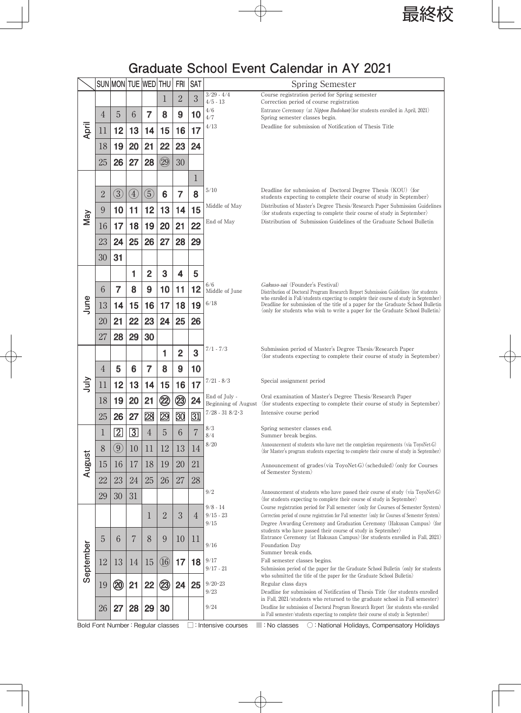## **Graduate School Event Calendar in AY 2021**

|           |                | SUN MON TUE WED THU               |                  |                   |                | <b>FRI</b>     | <b>SAT</b> | Spring Semester               |                                                                                                                                                                                                                                                                                                                                                                                                           |  |
|-----------|----------------|-----------------------------------|------------------|-------------------|----------------|----------------|------------|-------------------------------|-----------------------------------------------------------------------------------------------------------------------------------------------------------------------------------------------------------------------------------------------------------------------------------------------------------------------------------------------------------------------------------------------------------|--|
|           |                |                                   |                  |                   | T              | $\overline{2}$ | 3          | $3/29 - 4/4$<br>$4/5 - 13$    | Course registration period for Spring semester<br>Correction period of course registration                                                                                                                                                                                                                                                                                                                |  |
| April     | 4              | 5                                 | 6                | $\overline{7}$    | 8              | 9              | 10         | 4/6<br>4/7                    | Entrance Ceremony (at <i>Nippon Budokan</i> ) (for students enrolled in April, 2021)<br>Spring semester classes begin.                                                                                                                                                                                                                                                                                    |  |
|           | 11             | 12                                | 13               | 14                | 15             | 16             | 17         | 4/13                          | Deadline for submission of Notification of Thesis Title                                                                                                                                                                                                                                                                                                                                                   |  |
|           | 18             | 19                                | 20               | 21                | 22             | 23             | 24         |                               |                                                                                                                                                                                                                                                                                                                                                                                                           |  |
|           | 25             | 26                                | 27               | 28                | (29)           | 30             |            |                               |                                                                                                                                                                                                                                                                                                                                                                                                           |  |
| Nay       |                |                                   |                  |                   |                |                | 1          |                               |                                                                                                                                                                                                                                                                                                                                                                                                           |  |
|           | $\overline{2}$ | (3)                               | $\left(4\right)$ | $\left( 5\right)$ | 6              | 7              | 8          | 5/10                          | Deadline for submission of Doctoral Degree Thesis (KOU) (for                                                                                                                                                                                                                                                                                                                                              |  |
|           | 9              | 10                                | 11               | 12                | 13             | 14             | 15         | Middle of May                 | students expecting to complete their course of study in September $\rangle$<br>Distribution of Master's Degree Thesis/Research Paper Submission Guidelines                                                                                                                                                                                                                                                |  |
|           | 16             | 17                                | 18               | 19                | 20             | 21             | 22         | End of May                    | $\langle$ for students expecting to complete their course of study in September $\rangle$<br>Distribution of Submission Guidelines of the Graduate School Bulletin                                                                                                                                                                                                                                        |  |
|           | 23             | 24                                | 25               | 26                | 27             | 28             | 29         |                               |                                                                                                                                                                                                                                                                                                                                                                                                           |  |
|           | 30             | 31                                |                  |                   |                |                |            |                               |                                                                                                                                                                                                                                                                                                                                                                                                           |  |
| June      |                |                                   | 1                | $\overline{2}$    | 3              | 4              | 5          | 6/6<br>Middle of June<br>6/18 |                                                                                                                                                                                                                                                                                                                                                                                                           |  |
|           | 6              | 7                                 | 8                | 9                 | 10             | 11             | 12         |                               | Gakuso-sai (Founder's Festival)<br>Distribution of Doctoral Program Research Report Submission Guidelines (for students<br>who enrolled in Fall/students expecting to complete their course of study in September<br>Deadline for submission of the title of a paper for the Graduate School Bulletin<br>$\langle$ only for students who wish to write a paper for the Graduate School Bulletin $\rangle$ |  |
|           | 13             | 14                                | 15               | 16                | 17             | 18             | 19         |                               |                                                                                                                                                                                                                                                                                                                                                                                                           |  |
|           | 20             | 21                                | 22               | 23                | 24             | 25             | 26         |                               |                                                                                                                                                                                                                                                                                                                                                                                                           |  |
|           | 27             | 28                                | 29               | 30                |                |                |            |                               |                                                                                                                                                                                                                                                                                                                                                                                                           |  |
|           |                |                                   |                  |                   |                | $\overline{2}$ | 3          | $7/1 - 7/3$                   | Submission period of Master's Degree Thesis/Research Paper<br>$\langle$ for students expecting to complete their course of study in September $\rangle$                                                                                                                                                                                                                                                   |  |
| July      | 4              | 5                                 | 6                | 7                 | 8              | 9              | 10         |                               |                                                                                                                                                                                                                                                                                                                                                                                                           |  |
|           | 11             | 12                                | 13               | 14                | 15             | 16             | 17         | $7/21 - 8/3$                  | Special assignment period                                                                                                                                                                                                                                                                                                                                                                                 |  |
|           | 18             | 19                                | 20               | 21                | (22            | 23)            | 24         | End of July -                 | Oral examination of Master's Degree Thesis/Research Paper<br>Beginning of August $\langle$ for students expecting to complete their course of study in September                                                                                                                                                                                                                                          |  |
|           | 25             | 26                                | 27               | 28                | 29             | 30             | 31         | $7/28 - 318/2.3$              | Intensive course period                                                                                                                                                                                                                                                                                                                                                                                   |  |
|           | 1              | $\overline{2}$                    | $\overline{3}$   | 4                 | 5              | 6              | 7          | $8/3$<br>8/4                  | Spring semester classes end.<br>Summer break begins.                                                                                                                                                                                                                                                                                                                                                      |  |
|           | 8              | $\bigcirc$                        | 10               | 11                | 12             | 13             | 14         | 8/20                          | Announcement of students who have met the completion requirements (via ToyoNet-G)<br>(for Master's program students expecting to complete their course of study in September)                                                                                                                                                                                                                             |  |
| August    | 15             | 16                                | 17               | 18                | 19             | 20             | 21         |                               | Announcement of grades (via ToyoNet-G) (scheduled) (only for Courses<br>of Semester System                                                                                                                                                                                                                                                                                                                |  |
|           | 22             | 23                                | 24               | 25                | 26             | 27             | 28         |                               |                                                                                                                                                                                                                                                                                                                                                                                                           |  |
|           | 29             | 30                                | 31               |                   |                |                |            | 9/2                           | Announcement of students who have passed their course of study (via ToyoNet-G)<br>$\langle$ for students expecting to complete their course of study in September $\rangle$                                                                                                                                                                                                                               |  |
|           |                |                                   |                  |                   | $\overline{2}$ | 3              |            | $9/8 - 14$<br>$9/15 - 23$     | Course registration period for Fall semester $\langle$ only for Courses of Semester System)<br>Correction period of course registration for Fall semestter $\langle$ only for Courses of Semester System)                                                                                                                                                                                                 |  |
|           |                |                                   |                  | 1                 |                |                | 4          | 9/15                          | Degree Awarding Ceremony and Graduation Ceremony (Hakusan Campus) (for<br>students who have passed their course of study in September $\rangle$                                                                                                                                                                                                                                                           |  |
| September | 5              | 6                                 | 7                | 8                 | 9              | 10             | 11         | 9/16                          | Entrance Ceremony (at Hakusan Campus) (for students enrolled in Fall, 2021)<br>Foundation Day                                                                                                                                                                                                                                                                                                             |  |
|           | 12             | 13                                | 14               | 15                | (16)           | 17             | 18         | 9/17                          | Summer break ends.<br>Fall semester classes begins.                                                                                                                                                                                                                                                                                                                                                       |  |
|           |                |                                   |                  |                   |                |                |            | $9/17 - 21$                   | Submission period of the paper for the Graduate School Bulletin (only for students<br>who submitted the title of the paper for the Graduate School Bulletin $\rangle$                                                                                                                                                                                                                                     |  |
|           | 19             | 20)                               | 21               | 22                | $\circled{3}$  | 24             | 25         | 9/20.23<br>9/23               | Regular class days<br>Deadline for submission of Notification of Thesis Title (for students enrolled                                                                                                                                                                                                                                                                                                      |  |
|           | 26             | 27                                | 28               | 29                | 30             |                |            | 9/24                          | in Fall, 2021/students who returned to the graduate school in Fall semester)<br>Deadline for submission of Doctoral Program Research Report (for students who enrolled                                                                                                                                                                                                                                    |  |
|           |                | Bold Font Number: Regular classes |                  |                   |                |                |            | $\Box$ : Intensive courses    | in Fall semester/students expecting to complete their course of study in September)<br>$\blacksquare$ : No classes<br>○: National Holidays, Compensatory Holidays                                                                                                                                                                                                                                         |  |